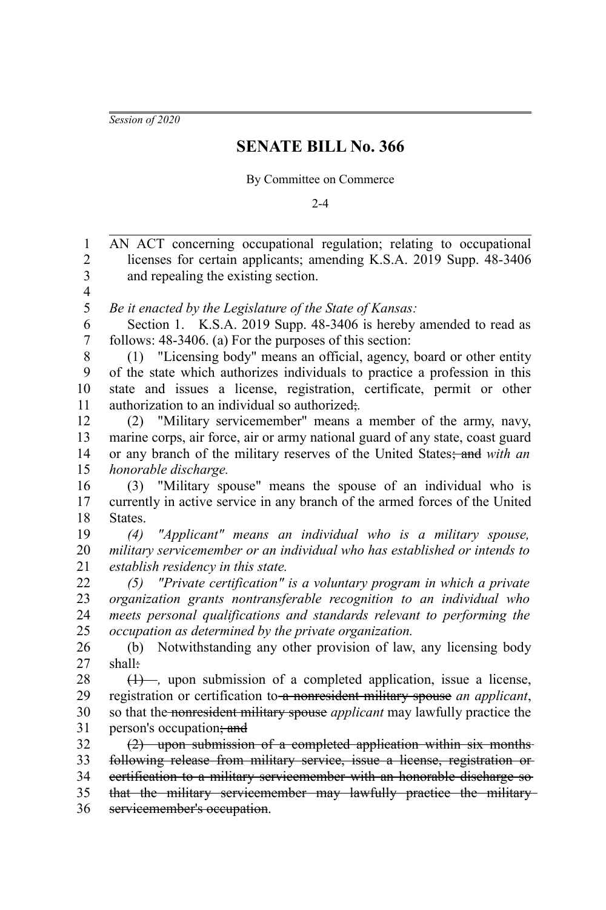*Session of 2020*

## **SENATE BILL No. 366**

By Committee on Commerce

 $2 - 4$ 

AN ACT concerning occupational regulation; relating to occupational licenses for certain applicants; amending K.S.A. 2019 Supp. 48-3406 and repealing the existing section. *Be it enacted by the Legislature of the State of Kansas:* Section 1. K.S.A. 2019 Supp. 48-3406 is hereby amended to read as follows: 48-3406. (a) For the purposes of this section: (1) "Licensing body" means an official, agency, board or other entity of the state which authorizes individuals to practice a profession in this state and issues a license, registration, certificate, permit or other authorization to an individual so authorized;*.* (2) "Military servicemember" means a member of the army, navy, marine corps, air force, air or army national guard of any state, coast guard or any branch of the military reserves of the United States; and *with an honorable discharge.* (3) "Military spouse" means the spouse of an individual who is currently in active service in any branch of the armed forces of the United States. *(4) "Applicant" means an individual who is a military spouse, military servicemember or an individual who has established or intends to establish residency in this state. (5) "Private certification" is a voluntary program in which a private organization grants nontransferable recognition to an individual who meets personal qualifications and standards relevant to performing the occupation as determined by the private organization.* (b) Notwithstanding any other provision of law, any licensing body shall: (1) –, upon submission of a completed application, issue a license, registration or certification to a nonresident military spouse *an applicant*, so that the nonresident military spouse *applicant* may lawfully practice the person's occupation; and (2) upon submission of a completed application within six months following release from military service, issue a license, registration or certification to a military servicemember with an honorable discharge so that the military servicemember may lawfully practice the military servicemember's occupation. 1 2 3 4 5 6 7 8 9 10 11 12 13 14 15 16 17 18 19 20 21 22 23 24 25 26 27 28 29 30 31 32 33 34 35 36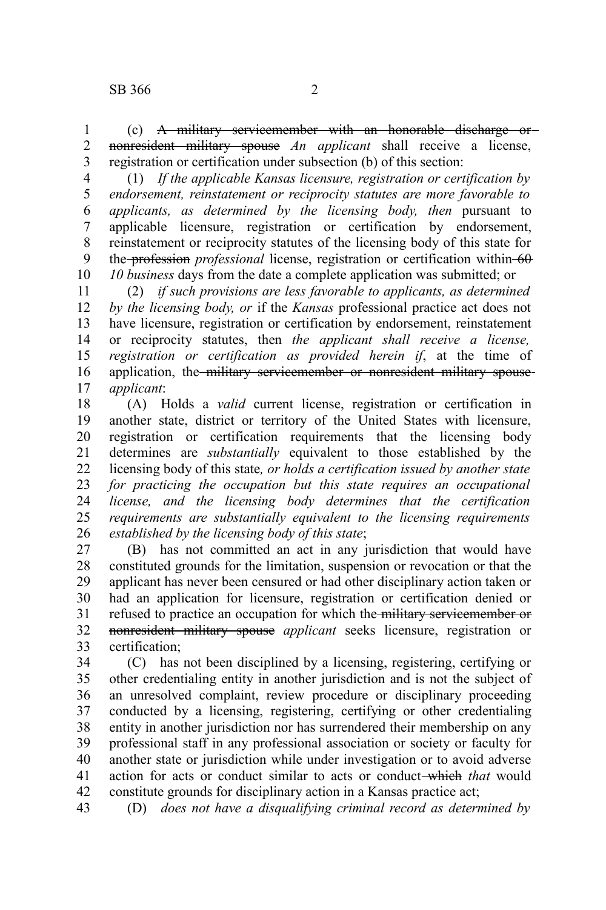(c) A military servicemember with an honorable discharge or nonresident military spouse *An applicant* shall receive a license, registration or certification under subsection (b) of this section: 1 2 3

(1) *If the applicable Kansas licensure, registration or certification by endorsement, reinstatement or reciprocity statutes are more favorable to applicants, as determined by the licensing body, then* pursuant to applicable licensure, registration or certification by endorsement, reinstatement or reciprocity statutes of the licensing body of this state for the **profession** professional license, registration or certification within 60 *10 business* days from the date a complete application was submitted; or 4 5 6 7 8 9 10

(2) *if such provisions are less favorable to applicants, as determined by the licensing body, or* if the *Kansas* professional practice act does not have licensure, registration or certification by endorsement, reinstatement or reciprocity statutes, then *the applicant shall receive a license, registration or certification as provided herein if*, at the time of application, the military servicemember or nonresident military spouse*applicant*: 11 12 13 14 15 16 17

(A) Holds a *valid* current license, registration or certification in another state, district or territory of the United States with licensure, registration or certification requirements that the licensing body determines are *substantially* equivalent to those established by the licensing body of this state*, or holds a certification issued by another state for practicing the occupation but this state requires an occupational license, and the licensing body determines that the certification requirements are substantially equivalent to the licensing requirements established by the licensing body of this state*; 18 19 20 21 22 23 24 25 26

(B) has not committed an act in any jurisdiction that would have constituted grounds for the limitation, suspension or revocation or that the applicant has never been censured or had other disciplinary action taken or had an application for licensure, registration or certification denied or refused to practice an occupation for which the military servicemember or nonresident military spouse *applicant* seeks licensure, registration or certification; 27 28 29 30 31 32 33

(C) has not been disciplined by a licensing, registering, certifying or other credentialing entity in another jurisdiction and is not the subject of an unresolved complaint, review procedure or disciplinary proceeding conducted by a licensing, registering, certifying or other credentialing entity in another jurisdiction nor has surrendered their membership on any professional staff in any professional association or society or faculty for another state or jurisdiction while under investigation or to avoid adverse action for acts or conduct similar to acts or conduct which *that* would constitute grounds for disciplinary action in a Kansas practice act; 34 35 36 37 38 39 40 41 42

(D) *does not have a disqualifying criminal record as determined by* 43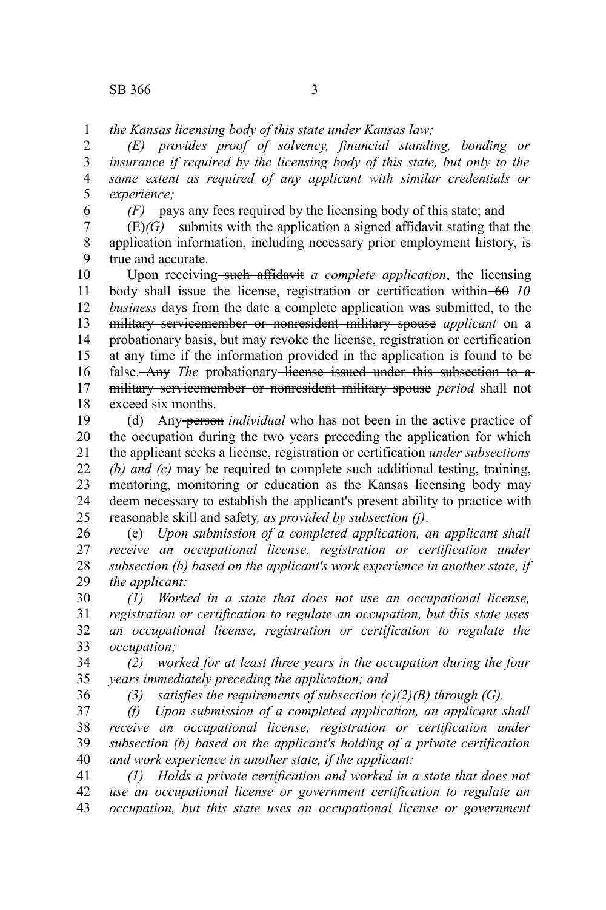*the Kansas licensing body of this state under Kansas law;* 1

*(E) provides proof of solvency, financial standing, bonding or insurance if required by the licensing body of this state, but only to the same extent as required of any applicant with similar credentials or experience;* 2 3 4 5

6

*(F)* pays any fees required by the licensing body of this state; and

 $(E)(G)$  submits with the application a signed affidavit stating that the application information, including necessary prior employment history, is true and accurate. 7 8 9

Upon receiving–such affidavit *a complete application*, the licensing body shall issue the license, registration or certification within 60 10 *business* days from the date a complete application was submitted, to the military servicemember or nonresident military spouse *applicant* on a probationary basis, but may revoke the license, registration or certification at any time if the information provided in the application is found to be false. Any *The* probationary license issued under this subsection to amilitary servicemember or nonresident military spouse *period* shall not exceed six months. 10 11 12 13 14 15 16 17 18

(d) Any person *individual* who has not been in the active practice of the occupation during the two years preceding the application for which the applicant seeks a license, registration or certification *under subsections (b) and (c)* may be required to complete such additional testing, training, mentoring, monitoring or education as the Kansas licensing body may deem necessary to establish the applicant's present ability to practice with reasonable skill and safety*, as provided by subsection (j)*. 19 20 21 22 23 24 25

(e) *Upon submission of a completed application, an applicant shall receive an occupational license, registration or certification under subsection (b) based on the applicant's work experience in another state, if the applicant:* 26 27 28 29

*(1) Worked in a state that does not use an occupational license, registration or certification to regulate an occupation, but this state uses an occupational license, registration or certification to regulate the occupation;* 30 31 32 33

*(2) worked for at least three years in the occupation during the four years immediately preceding the application; and* 34 35

36

*(3) satisfies the requirements of subsection (c)(2)(B) through (G).*

*(f) Upon submission of a completed application, an applicant shall receive an occupational license, registration or certification under subsection (b) based on the applicant's holding of a private certification and work experience in another state, if the applicant:* 37 38 39 40

*(1) Holds a private certification and worked in a state that does not use an occupational license or government certification to regulate an occupation, but this state uses an occupational license or government* 41 42 43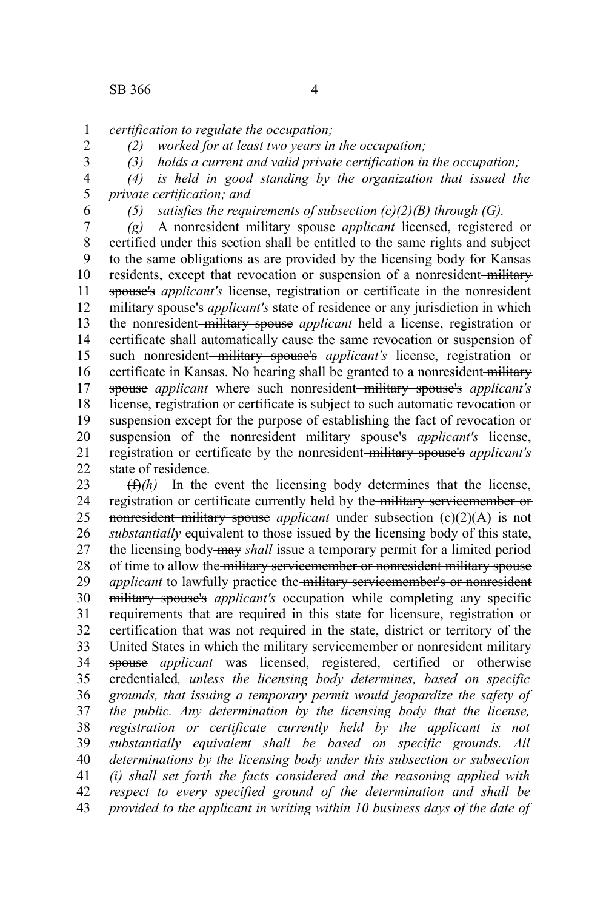*certification to regulate the occupation;* 1

2

*(2) worked for at least two years in the occupation; (3) holds a current and valid private certification in the occupation;*

3 4

*(4) is held in good standing by the organization that issued the*

*private certification; and* 5 6

*(5) satisfies the requirements of subsection (c)(2)(B) through (G).*

*(g)* A nonresident military spouse *applicant* licensed, registered or certified under this section shall be entitled to the same rights and subject to the same obligations as are provided by the licensing body for Kansas residents, except that revocation or suspension of a nonresident-military spouse's *applicant's* license, registration or certificate in the nonresident military spouse's *applicant's* state of residence or any jurisdiction in which the nonresident military spouse *applicant* held a license, registration or certificate shall automatically cause the same revocation or suspension of such nonresident military spouse's *applicant's* license, registration or certificate in Kansas. No hearing shall be granted to a nonresident-military spouse *applicant* where such nonresident-military spouse's *applicant's* license, registration or certificate is subject to such automatic revocation or suspension except for the purpose of establishing the fact of revocation or suspension of the nonresident-military spouse's *applicant's* license, registration or certificate by the nonresident military spouse's *applicant's* state of residence. 7 8 9 10 11 12 13 14 15 16 17 18 19 20 21 22

 $(f)$ *(h)* In the event the licensing body determines that the license, registration or certificate currently held by the military servicemember or nonresident military spouse *applicant* under subsection (c)(2)(A) is not *substantially* equivalent to those issued by the licensing body of this state, the licensing body may *shall* issue a temporary permit for a limited period of time to allow the military servicemember or nonresident military spouse *applicant* to lawfully practice the military servicemember's or nonresident military spouse's *applicant's* occupation while completing any specific requirements that are required in this state for licensure, registration or certification that was not required in the state, district or territory of the United States in which the military servicemember or nonresident military spouse *applicant* was licensed, registered, certified or otherwise credentialed*, unless the licensing body determines, based on specific grounds, that issuing a temporary permit would jeopardize the safety of the public. Any determination by the licensing body that the license, registration or certificate currently held by the applicant is not substantially equivalent shall be based on specific grounds. All determinations by the licensing body under this subsection or subsection (i) shall set forth the facts considered and the reasoning applied with respect to every specified ground of the determination and shall be provided to the applicant in writing within 10 business days of the date of* 23 24 25 26 27 28 29 30 31 32 33 34 35 36 37 38 39 40 41 42 43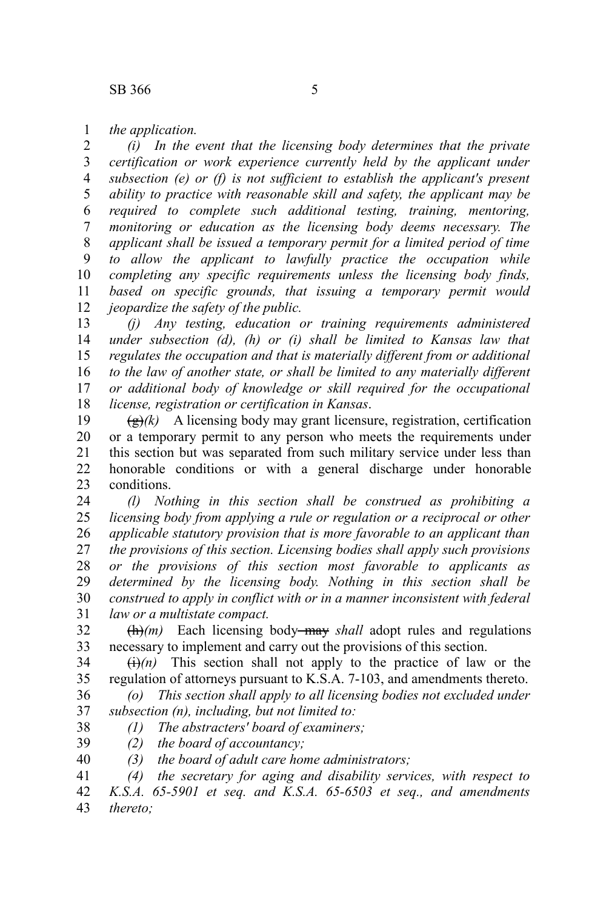*the application.* 1

*(i) In the event that the licensing body determines that the private certification or work experience currently held by the applicant under subsection (e) or (f) is not sufficient to establish the applicant's present ability to practice with reasonable skill and safety, the applicant may be required to complete such additional testing, training, mentoring, monitoring or education as the licensing body deems necessary. The applicant shall be issued a temporary permit for a limited period of time to allow the applicant to lawfully practice the occupation while completing any specific requirements unless the licensing body finds, based on specific grounds, that issuing a temporary permit would jeopardize the safety of the public.* 2 3 4 5 6 7 8 9 10 11 12

*(j) Any testing, education or training requirements administered under subsection (d), (h) or (i) shall be limited to Kansas law that regulates the occupation and that is materially different from or additional to the law of another state, or shall be limited to any materially different or additional body of knowledge or skill required for the occupational license, registration or certification in Kansas*. 13 14 15 16 17 18

 $\left(\frac{g}{g}\right)$  A licensing body may grant licensure, registration, certification or a temporary permit to any person who meets the requirements under this section but was separated from such military service under less than honorable conditions or with a general discharge under honorable conditions. 19 20 21 22 23

*(l) Nothing in this section shall be construed as prohibiting a licensing body from applying a rule or regulation or a reciprocal or other applicable statutory provision that is more favorable to an applicant than the provisions of this section. Licensing bodies shall apply such provisions or the provisions of this section most favorable to applicants as determined by the licensing body. Nothing in this section shall be construed to apply in conflict with or in a manner inconsistent with federal law or a multistate compact.* 24 25 26 27 28 29 30 31

 $\left(\frac{h}{m}\right)$  Each licensing body—may *shall* adopt rules and regulations necessary to implement and carry out the provisions of this section. 32 33

 $\overrightarrow{(i)}(n)$  This section shall not apply to the practice of law or the regulation of attorneys pursuant to K.S.A. 7-103, and amendments thereto. 34 35

*(o) This section shall apply to all licensing bodies not excluded under subsection (n), including, but not limited to:* 36 37

*(1) The abstracters' board of examiners;* 38

*(2) the board of accountancy;* 39

*(3) the board of adult care home administrators;* 40

*(4) the secretary for aging and disability services, with respect to K.S.A. 65-5901 et seq. and K.S.A. 65-6503 et seq., and amendments thereto;* 41 42 43